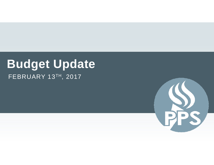## **Budget Update** FEBRUARY 13TH, 2017

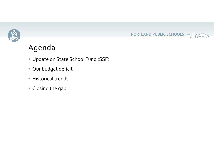

## Agenda

• Update on State School Fund (SSF)

PORTLAND PUBLIC SCHOOLS

- Our budget deficit
- Historical trends
- Closing the gap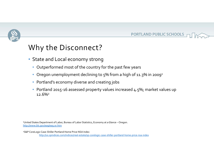



#### Why the Disconnect?

- State and Local economy strong
	- Outperformed most of the country for the pas<sup>t</sup> few years
	- $\bullet~$  Oregon unemployment declining to 5% from a high of 11.3% in 2009 $^{\text{\tiny 1}}$
	- Portland's economy diverse and creating jobs
	- Portland 2015‐16 assessed property values increased 4.5%; market values up 12.6%2

1United States Department of Labor, Bureau of Labor Statistics, Economy at aGlance – Oregon. http://www.bls.gov/eag/eag.or.htm

2S&P CoreLogic Case‐Shiller Portland Home Price NSA Index http://us.spindices.com/indices/real‐estate/sp‐corelogic‐case‐shiller‐portland‐home‐price‐nsa‐index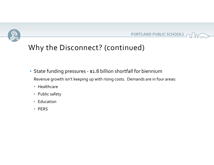



### Why the Disconnect? (continued)

- State funding pressures ‐ \$1.8 billion shortfall for biennium Revenue growth isn't keeping up with rising costs. Demands are in four areas:
	- Healthcare
	- Public safety
	- Education
	- PERS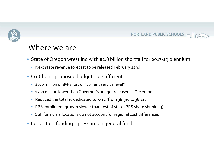

#### PORTLAND PUBLIC SCHOOLS F

#### Where we are

- State of Oregon wrestling with \$1.8 billion shortfall for <sup>2017</sup>‐19 biennium
	- Next state revenue forecast to be released February 22nd
- Co‐Chairs' proposed budget not sufficient
	- \$670 million or 8% short of"current service level"
	- \$300 million <u>lower than Governor's </u>budget released in December
	- Reduced the total % dedicated to K‐<sup>12</sup> (from 38.9% to 38.1%)
	- PPS enrollment growth slower than rest of state (PPS share shrinking)
	- SSF formula allocations do not account for regional cost differences
- $\bullet\,$  Less Title 1 funding pressure on general fund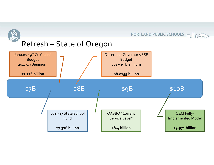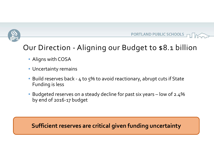



## Our Direction ‐ Aligning our Budget to \$8.1 billion

- Aligns with COSA
- Uncertainty remains
- Build reserves back ‐ <sup>4</sup> to 5% to avoid reactionary, abrupt cuts if State Funding is less
- $\bullet\,$  Budgeted reserves on a steady decline for past six years low of 2.4% by end of 2016‐<sup>17</sup> budget

**Sufficient reserves are critical given funding uncertainty**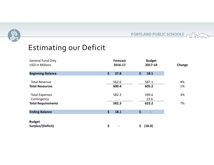

PORTLAND PUBLIC SCHOOLS THE

## Estimating our Deficit

| <b>General Fund Only</b><br><b>USD in Millions</b> | <b>Forecast</b><br>2016-17 | <b>Budget</b><br>2017-18                    | Change |
|----------------------------------------------------|----------------------------|---------------------------------------------|--------|
| <b>Beginning Balance</b>                           | \$<br>37.8                 | $\left  \boldsymbol{\zeta} \right $<br>18.1 |        |
| <b>Total Revenue</b>                               | 562.6                      | 587.1                                       | 4%     |
| <b>Total Resources</b>                             | 600.4                      | 605.2                                       | 1%     |
| <b>Total Expenses</b>                              | 582.3                      | 599.6                                       | 3%     |
| Contingency                                        |                            | 23.6                                        |        |
| <b>Total Requirements</b>                          | 582.3                      | 623.2                                       | 7%     |
| <b>Ending Balance</b>                              | \$<br>18.1                 | \$                                          |        |
| <b>Budget</b>                                      |                            |                                             |        |
| Surplus/(Deficit)                                  | \$                         | \$<br>(18.0)                                |        |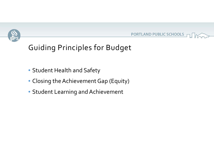



### Guiding Principles for Budget

- Student Health and Safety
- Closing the Achievement Gap (Equity)
- Student Learning and Achievement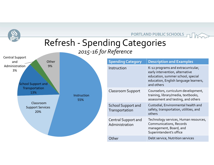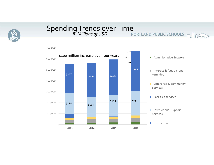

# SpendingTrends overTime *In Millions ofUSD*

 $L$  Mon

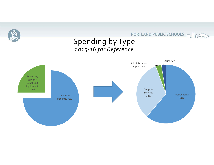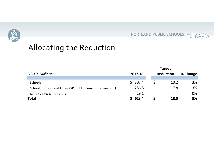



### Allocating the Reduction

|                                                            | <b>Target</b> |                  |      |          |
|------------------------------------------------------------|---------------|------------------|------|----------|
| <b>USD</b> in Millions                                     | 2017-18       | <b>Reduction</b> |      | % Change |
|                                                            |               |                  |      |          |
| Schools                                                    | \$307.4       |                  | 10.2 | 3%       |
| School Support and Other (SPED, ELL, Transportation, etc.) | 286.8         |                  | 7.8  | 3%       |
| Contingency & Transfers                                    | 29.1          |                  |      | 0%       |
| <b>Total</b>                                               | 623.4         |                  | 18.0 | 3%       |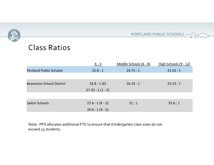#### PORTLAND PUBLIC SCHOOLS TUNGER



|                                  | $K - 5$        | Middle Schools (6 - 8) | High Schools (9 - 12) |
|----------------------------------|----------------|------------------------|-----------------------|
| <b>Portland Public Schools</b>   | 25.8:1         | 24.75:1                | 21.63:1               |
|                                  |                |                        |                       |
| <b>Beaverton School District</b> | 24.8:1(K)      | 26.33:1                | 25.53:1               |
|                                  | $27.33:1(1-5)$ |                        |                       |
|                                  |                |                        |                       |
| Salem Schools                    | $27.6:1(K-3)$  | 31:1                   | 35.6:1                |
|                                  | $29.6:1(4-5)$  |                        |                       |

Note: PPS allocates additional FTE to ensure that Kindergarten class sizes do not exceed 25 students.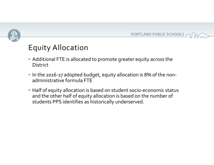



#### Equity Allocation

- Additional FTE is allocated to promote greater equity across the **District**
- In the 2016‐<sup>17</sup> adopted budget, equity allocation is 8% of the non‐ administrative formula FTE
- Half of equity allocation is based on student socio‐economic status and the other half of equity allocation is based on the number of students PPS identifies as historically underserved.